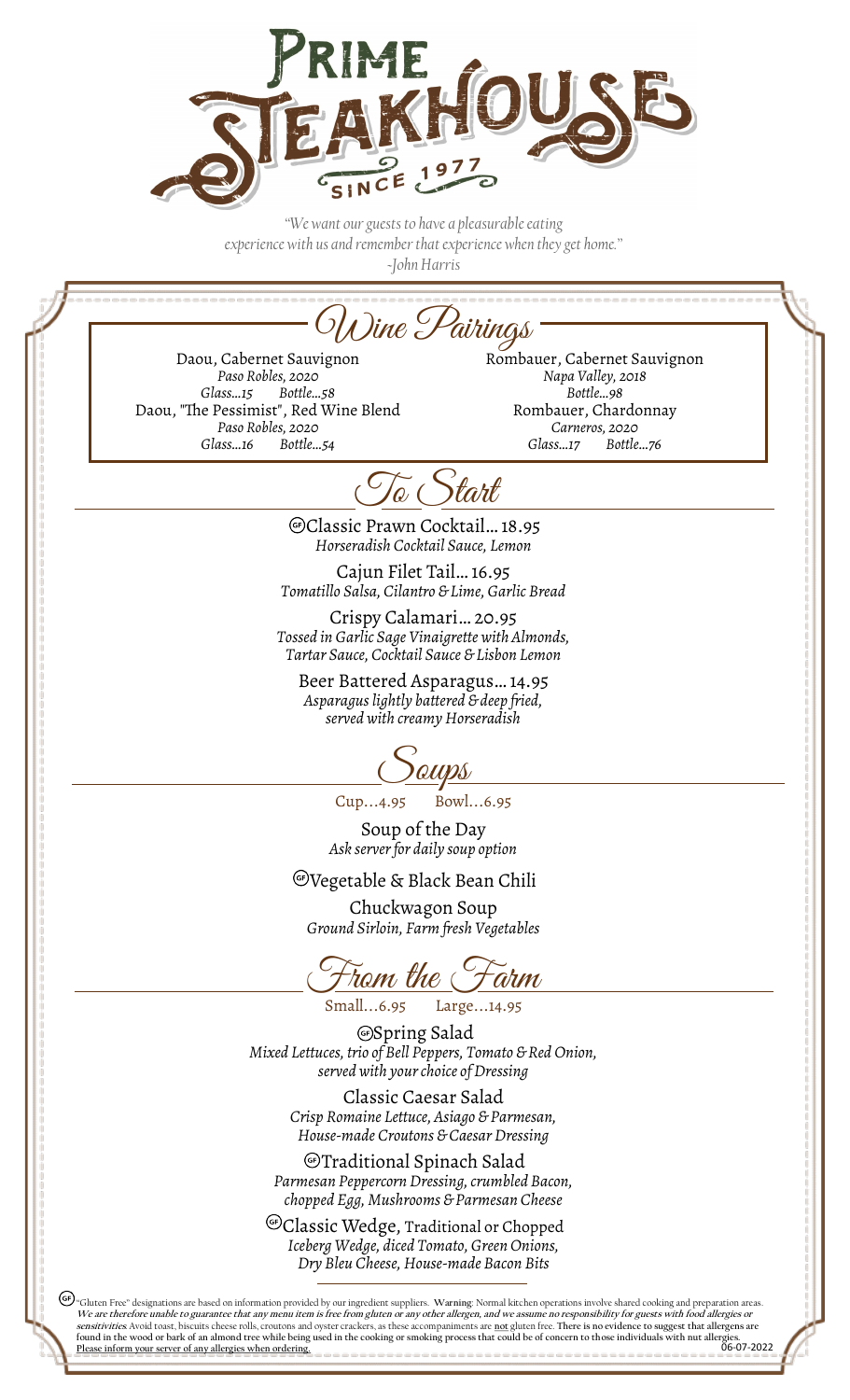

*"We want our guests to have a pleasurable eating experience with us and remember that experience when they get home." ~John Harris*

Wine Pairings

Daou, Cabernet Sauvignon *Paso Robles, 2020 Glass…15 Bottle…58* Daou, "The Pessimist", Red Wine Blend *Paso Robles, 2020 Glass…16 Bottle…54*

Rombauer, Cabernet Sauvignon *Napa Valley, 2018 Bottle…98* Rombauer, Chardonnay *Carneros, 2020 Glass…17 Bottle…76*

To Start

Classic Prawn Cocktail… 18.95 *Horseradish Cocktail Sauce, Lemon*

Cajun Filet Tail… 16.95 *Tomatillo Salsa, Cilantro & Lime, Garlic Bread*

Crispy Calamari… 20.95 *Tossed in Garlic Sage Vinaigrette with Almonds, Tartar Sauce, Cocktail Sauce & Lisbon Lemon*

Beer Battered Asparagus… 14.95 *Asparagus lightly battered & deep fried, served with creamy Horseradish*

1 *QUPS*<br>Bowl...6.95  $Cup...4.95$ 

Soup of the Day *Ask server for daily soup option*

Vegetable & Black Bean Chili

Chuckwagon Soup *Ground Sirloin, Farm fresh Vegetables*

<u>Fram the Farm</u><br>small...6.95 Large...14.95

Large...14.95

Spring Salad *Mixed Lettuces, trio of Bell Peppers, Tomato & Red Onion, served with your choice of Dressing*

> Classic Caesar Salad *Crisp Romaine Lettuce, Asiago & Parmesan, House-made Croutons & Caesar Dressing*

Traditional Spinach Salad *Parmesan Peppercorn Dressing, crumbled Bacon, chopped Egg, Mushrooms & Parmesan Cheese*

<sup>G</sup>Classic Wedge, Traditional or Chopped *Iceberg Wedge, diced Tomato, Green Onions, Dry Bleu Cheese, House-made Bacon Bits*

(GF) "Gluten Free" designations are based on information provided by our ingredient suppliers. **Warning**: Normal kitchen operations involve shared cooking and preparation areas. We are therefore unable to guarantee that any menu item is free from gluten or any other allergen, and we assume no responsibility for guests with food allergies or sensitivities. Notice that allergies or **sensitivities** A **sensitivities***.* Avoid toast, biscuits cheese rolls, croutons and oyster crackers, as these accompaniments are **not** gluten free. **There is no evidence to suggest that allergens are found in the wood or bark of an almond tree while being used in the cooking or smoking process that could be of concern to those individuals with nut allergies.**  06-07-2022 **Please inform your server of any allergies when ordering.**